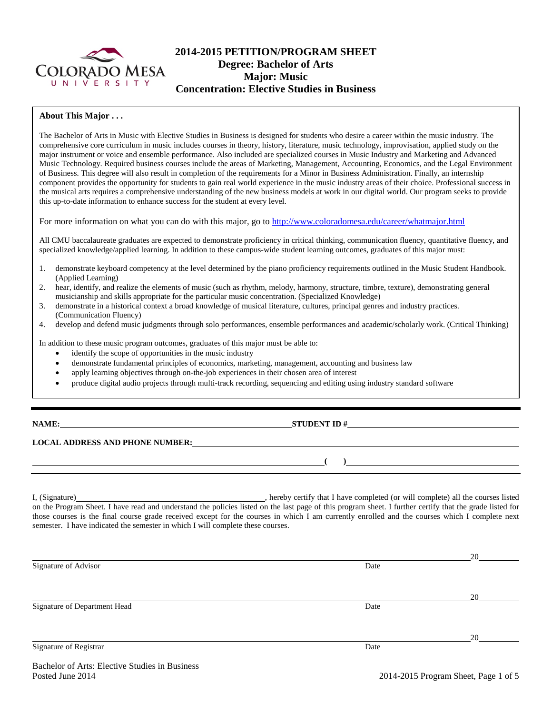

# **2014-2015 PETITION/PROGRAM SHEET Degree: Bachelor of Arts Major: Music Concentration: Elective Studies in Business**

#### **About This Major . . .**

The Bachelor of Arts in Music with Elective Studies in Business is designed for students who desire a career within the music industry. The comprehensive core curriculum in music includes courses in theory, history, literature, music technology, improvisation, applied study on the major instrument or voice and ensemble performance. Also included are specialized courses in Music Industry and Marketing and Advanced Music Technology. Required business courses include the areas of Marketing, Management, Accounting, Economics, and the Legal Environment of Business. This degree will also result in completion of the requirements for a Minor in Business Administration. Finally, an internship component provides the opportunity for students to gain real world experience in the music industry areas of their choice. Professional success in the musical arts requires a comprehensive understanding of the new business models at work in our digital world. Our program seeks to provide this up-to-date information to enhance success for the student at every level.

For more information on what you can do with this major, go to<http://www.coloradomesa.edu/career/whatmajor.html>

All CMU baccalaureate graduates are expected to demonstrate proficiency in critical thinking, communication fluency, quantitative fluency, and specialized knowledge/applied learning. In addition to these campus-wide student learning outcomes, graduates of this major must:

- 1. demonstrate keyboard competency at the level determined by the piano proficiency requirements outlined in the Music Student Handbook. (Applied Learning)
- 2. hear, identify, and realize the elements of music (such as rhythm, melody, harmony, structure, timbre, texture), demonstrating general musicianship and skills appropriate for the particular music concentration. (Specialized Knowledge)
- 3. demonstrate in a historical context a broad knowledge of musical literature, cultures, principal genres and industry practices. (Communication Fluency)
- 4. develop and defend music judgments through solo performances, ensemble performances and academic/scholarly work. (Critical Thinking)

In addition to these music program outcomes, graduates of this major must be able to:

- identify the scope of opportunities in the music industry
- demonstrate fundamental principles of economics, marketing, management, accounting and business law
- apply learning objectives through on-the-job experiences in their chosen area of interest
- produce digital audio projects through multi-track recording, sequencing and editing using industry standard software

#### **NAME: STUDENT ID #**

## **LOCAL ADDRESS AND PHONE NUMBER:**

I, (Signature) hereby certify that I have completed (or will complete) all the courses listed on the Program Sheet. I have read and understand the policies listed on the last page of this program sheet. I further certify that the grade listed for those courses is the final course grade received except for the courses in which I am currently enrolled and the courses which I complete next semester. I have indicated the semester in which I will complete these courses.

|                              |      | 20 |
|------------------------------|------|----|
| Signature of Advisor         | Date |    |
|                              |      |    |
|                              |      |    |
|                              |      | 20 |
| Signature of Department Head | Date |    |
|                              |      |    |
|                              |      |    |
|                              |      | 20 |
| Signature of Registrar       | Date |    |
|                              |      |    |

**( )**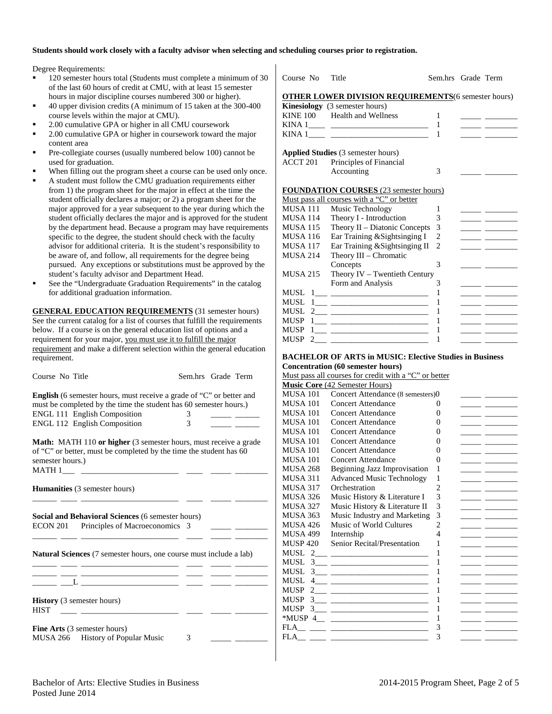#### **Students should work closely with a faculty advisor when selecting and scheduling courses prior to registration.**

Degree Requirements:

- 120 semester hours total (Students must complete a minimum of 30 of the last 60 hours of credit at CMU, with at least 15 semester hours in major discipline courses numbered 300 or higher).
- 40 upper division credits (A minimum of 15 taken at the 300-400 course levels within the major at CMU).
- 2.00 cumulative GPA or higher in all CMU coursework
- 2.00 cumulative GPA or higher in coursework toward the major content area
- Pre-collegiate courses (usually numbered below 100) cannot be used for graduation.
- When filling out the program sheet a course can be used only once.
- A student must follow the CMU graduation requirements either from 1) the program sheet for the major in effect at the time the student officially declares a major; or 2) a program sheet for the major approved for a year subsequent to the year during which the student officially declares the major and is approved for the student by the department head. Because a program may have requirements specific to the degree, the student should check with the faculty advisor for additional criteria. It is the student's responsibility to be aware of, and follow, all requirements for the degree being pursued. Any exceptions or substitutions must be approved by the student's faculty advisor and Department Head.
- See the "Undergraduate Graduation Requirements" in the catalog for additional graduation information.

**GENERAL EDUCATION REQUIREMENTS** (31 semester hours) See the current catalog for a list of courses that fulfill the requirements below. If a course is on the general education list of options and a requirement for your major, you must use it to fulfill the major requirement and make a different selection within the general education requirement.

| Course No Title | Sem.hrs Grade Term |
|-----------------|--------------------|

**English** (6 semester hours, must receive a grade of "C" or better and must be completed by the time the student has 60 semester hours.) ENGL 111 English Composition 3 ENGL 112 English Composition 3

**Math:** MATH 110 or higher (3 semester hours, must receive a grade of "C" or better, must be completed by the time the student has 60 semester hours.)  $MATH 1$ 

|             | <b>Humanities</b> (3 semester hours)                                                                                                                                                                                                 |  |  |
|-------------|--------------------------------------------------------------------------------------------------------------------------------------------------------------------------------------------------------------------------------------|--|--|
|             | <b>Social and Behavioral Sciences</b> (6 semester hours)                                                                                                                                                                             |  |  |
|             | ECON 201 Principles of Macroeconomics 3                                                                                                                                                                                              |  |  |
|             |                                                                                                                                                                                                                                      |  |  |
|             | <b>Natural Sciences</b> (7 semester hours, one course must include a lab)                                                                                                                                                            |  |  |
|             | <u> 1980 - John Harry Harry Harry Harry Harry Harry Harry Harry Harry Harry Harry Harry Harry Harry Harry Harry Harry Harry Harry Harry Harry Harry Harry Harry Harry Harry Harry Harry Harry Harry Harry Harry Harry Harry Harr</u> |  |  |
| <b>HIST</b> | <b>History</b> (3 semester hours)<br>the control of the control of the control of                                                                                                                                                    |  |  |
|             | <b>Fine Arts</b> (3 semester hours)                                                                                                                                                                                                  |  |  |
|             | MUSA 266 History of Popular Music                                                                                                                                                                                                    |  |  |

| Course No        | Title                                                                                                                   | Sem.hrs Grade Term |                                                                                                                       |
|------------------|-------------------------------------------------------------------------------------------------------------------------|--------------------|-----------------------------------------------------------------------------------------------------------------------|
|                  | <b>OTHER LOWER DIVISION REQUIREMENTS</b> (6 semester hours)                                                             |                    |                                                                                                                       |
|                  | Kinesiology (3 semester hours)                                                                                          |                    |                                                                                                                       |
|                  | KINE 100 Health and Wellness                                                                                            | 1                  |                                                                                                                       |
|                  |                                                                                                                         | 1                  |                                                                                                                       |
|                  |                                                                                                                         | 1                  |                                                                                                                       |
|                  | Applied Studies (3 semester hours)                                                                                      |                    |                                                                                                                       |
| ACCT 201         | Principles of Financial                                                                                                 |                    |                                                                                                                       |
|                  | Accounting                                                                                                              | 3                  |                                                                                                                       |
|                  |                                                                                                                         |                    |                                                                                                                       |
|                  | <b>FOUNDATION COURSES (23 semester hours)</b>                                                                           |                    |                                                                                                                       |
|                  | Must pass all courses with a "C" or better                                                                              |                    |                                                                                                                       |
| MUSA 111         | Music Technology                                                                                                        | 1                  |                                                                                                                       |
| MUSA 114         | Theory I - Introduction                                                                                                 | 3                  |                                                                                                                       |
| <b>MUSA 115</b>  | Theory II – Diatonic Concepts                                                                                           | 3                  | <u> 1989 - Johann John Stone, mars and de la partie de la partie de la partie de la partie de la partie de la par</u> |
| <b>MUSA 116</b>  | Ear Training & Sightsinging I                                                                                           | $\overline{c}$     | <u> 1989 - John Barnett, fransk kongresu</u>                                                                          |
| MUSA 117         | Ear Training & Sightsinging II                                                                                          | $\overline{c}$     |                                                                                                                       |
| <b>MUSA 214</b>  | Theory III - Chromatic                                                                                                  |                    |                                                                                                                       |
|                  | Concepts                                                                                                                | 3                  |                                                                                                                       |
| <b>MUSA 215</b>  | Theory $IV - Tw$ entieth Century                                                                                        |                    |                                                                                                                       |
|                  | Form and Analysis                                                                                                       | 3                  |                                                                                                                       |
| MUSL             |                                                                                                                         | 1                  |                                                                                                                       |
| MUSL             | $\begin{tabular}{ c c c c } \hline $1$ & \quad \quad & \quad \quad & \quad \quad & \quad \quad \\ \hline \end{tabular}$ | 1                  |                                                                                                                       |
| MUSL             |                                                                                                                         | 1                  |                                                                                                                       |
| <b>MUSP</b>      |                                                                                                                         | 1                  |                                                                                                                       |
| <b>MUSP</b>      |                                                                                                                         | 1                  |                                                                                                                       |
| <b>MUSP</b><br>2 |                                                                                                                         | 1                  |                                                                                                                       |

#### **BACHELOR OF ARTS in MUSIC: Elective Studies in Business Concentration (60 semester hours)**

Must pass all courses for credit with a "C" or better

|                  | <b>Music Core</b> (42 Semester Hours)                                                                                 |                |  |
|------------------|-----------------------------------------------------------------------------------------------------------------------|----------------|--|
| <b>MUSA 101</b>  | Concert Attendance (8 semesters)0                                                                                     |                |  |
| <b>MUSA 101</b>  | <b>Concert Attendance</b>                                                                                             | 0              |  |
| <b>MUSA 101</b>  | Concert Attendance                                                                                                    | 0              |  |
| <b>MUSA 101</b>  | Concert Attendance                                                                                                    | 0              |  |
| <b>MUSA 101</b>  | <b>Concert Attendance</b>                                                                                             | 0              |  |
| <b>MUSA 101</b>  | Concert Attendance                                                                                                    | 0              |  |
| <b>MUSA 101</b>  | Concert Attendance                                                                                                    | 0              |  |
| <b>MUSA 101</b>  | <b>Concert Attendance</b>                                                                                             | 0              |  |
| <b>MUSA 268</b>  | <b>Beginning Jazz Improvisation</b>                                                                                   | 1              |  |
| MUSA 311         | <b>Advanced Music Technology</b>                                                                                      | 1              |  |
| MUSA 317         | Orchestration                                                                                                         | $\mathfrak{D}$ |  |
| <b>MUSA 326</b>  | Music History & Literature I                                                                                          | 3              |  |
| <b>MUSA 327</b>  | Music History & Literature II                                                                                         | 3              |  |
| <b>MUSA 363</b>  | Music Industry and Marketing                                                                                          | 3              |  |
| <b>MUSA 426</b>  | Music of World Cultures                                                                                               | 2              |  |
| <b>MUSA 499</b>  | Internship                                                                                                            | 4              |  |
| <b>MUSP 420</b>  | Senior Recital/Presentation                                                                                           | 1              |  |
|                  |                                                                                                                       |                |  |
| <b>MUSL</b>      | $3 \qquad \qquad$                                                                                                     | 1              |  |
| <b>MUSL</b>      |                                                                                                                       | 1              |  |
| <b>MUSL</b><br>4 |                                                                                                                       | 1              |  |
| <b>MUSP</b><br>2 |                                                                                                                       | 1              |  |
| <b>MUSP</b><br>3 |                                                                                                                       | 1              |  |
| <b>MUSP</b><br>3 | <u> Territoria de la contenentación de la contenentación de la contenentación de la contenentación de la contene</u>  | 1              |  |
| *MUSP 4          | <u> Terminal de la propincia de la propincia de la propincia de la propincia de la propincia de la propincia de l</u> | 1              |  |
| FLA              |                                                                                                                       | 3              |  |
| FLA              |                                                                                                                       | 3              |  |
|                  |                                                                                                                       |                |  |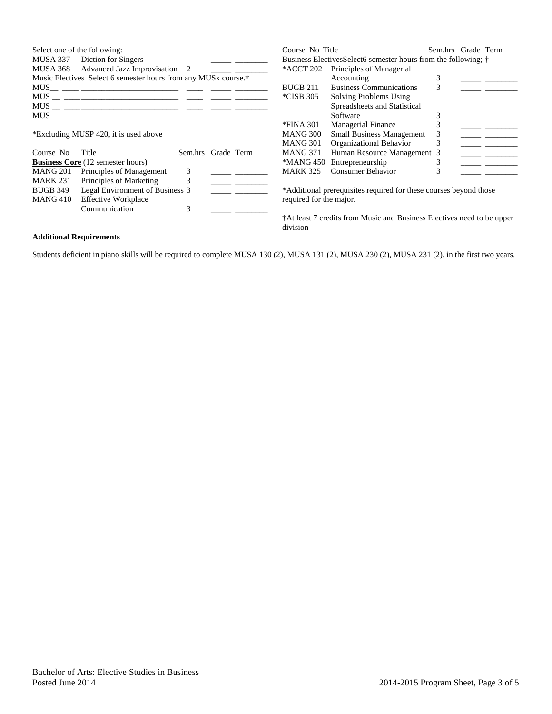| Select one of the following:                                                                                   | MUSA 337 Diction for Singers<br>MUSA 368 Advanced Jazz Improvisation 2                 |                    |  | Course No Title<br>*ACCT 202 | Business Electives Select 6 semester hours from the following; †<br>Principles of Managerial |   | Sem.hrs Grade Term |  |
|----------------------------------------------------------------------------------------------------------------|----------------------------------------------------------------------------------------|--------------------|--|------------------------------|----------------------------------------------------------------------------------------------|---|--------------------|--|
|                                                                                                                | Music Electives Select 6 semester hours from any MUS <sub>x</sub> course. <sup>†</sup> |                    |  |                              | Accounting                                                                                   | 3 |                    |  |
| MUS                                                                                                            |                                                                                        |                    |  | <b>BUGB 211</b>              | <b>Business Communications</b>                                                               | 3 |                    |  |
|                                                                                                                |                                                                                        |                    |  | *CISB 305                    | Solving Problems Using                                                                       |   |                    |  |
|                                                                                                                |                                                                                        |                    |  |                              | Spreadsheets and Statistical                                                                 |   |                    |  |
| MUS FOR THE STATE OF THE STATE OF THE STATE OF THE STATE OF THE STATE OF THE STATE OF THE STATE OF THE STATE O |                                                                                        |                    |  |                              | Software                                                                                     |   |                    |  |
|                                                                                                                |                                                                                        |                    |  | *FINA 301                    | <b>Managerial Finance</b>                                                                    | 3 |                    |  |
|                                                                                                                | *Excluding MUSP 420, it is used above                                                  |                    |  | MANG 300                     | <b>Small Business Management</b>                                                             | 3 |                    |  |
|                                                                                                                |                                                                                        |                    |  | <b>MANG 301</b>              | Organizational Behavior                                                                      | 3 |                    |  |
| Course No                                                                                                      | Title                                                                                  | Sem.hrs Grade Term |  | <b>MANG 371</b>              | Human Resource Management 3                                                                  |   |                    |  |
|                                                                                                                | <b>Business Core</b> (12 semester hours)                                               |                    |  | *MANG 450                    | Entrepreneurship                                                                             |   |                    |  |
| MANG 201                                                                                                       | Principles of Management                                                               | 3                  |  | <b>MARK 325</b>              | Consumer Behavior                                                                            |   |                    |  |
| <b>MARK 231</b>                                                                                                | Principles of Marketing                                                                | 3                  |  |                              |                                                                                              |   |                    |  |
| <b>BUGB 349</b>                                                                                                | Legal Environment of Business 3                                                        |                    |  |                              | *Additional prerequisites required for these courses beyond those                            |   |                    |  |
| MANG 410                                                                                                       | <b>Effective Workplace</b>                                                             |                    |  | required for the major.      |                                                                                              |   |                    |  |
|                                                                                                                | Communication                                                                          | 3                  |  |                              |                                                                                              |   |                    |  |
|                                                                                                                |                                                                                        |                    |  | division                     | †At least 7 credits from Music and Business Electives need to be upper                       |   |                    |  |

## **Additional Requirements**

Students deficient in piano skills will be required to complete MUSA 130 (2), MUSA 131 (2), MUSA 230 (2), MUSA 231 (2), in the first two years.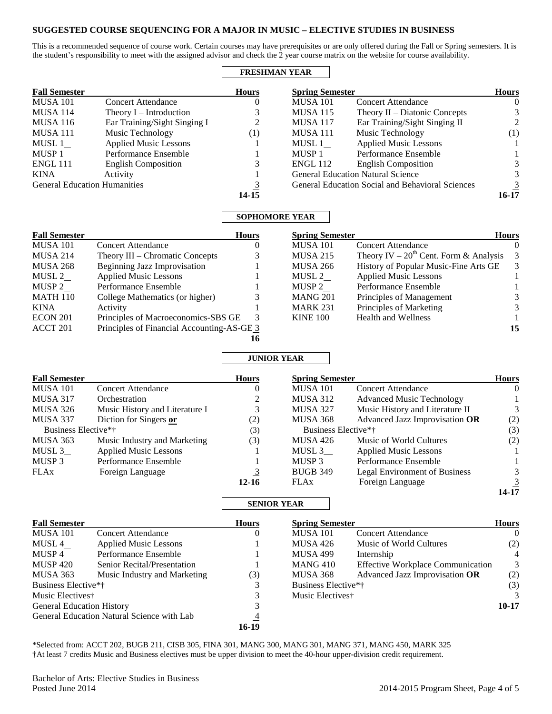## **SUGGESTED COURSE SEQUENCING FOR A MAJOR IN MUSIC – ELECTIVE STUDIES IN BUSINESS**

This is a recommended sequence of course work. Certain courses may have prerequisites or are only offered during the Fall or Spring semesters. It is the student's responsibility to meet with the assigned advisor and check the 2 year course matrix on the website for course availability.

### **FRESHMAN YEAR**

| <b>Fall Semester</b>                |                              | <b>Hours</b> | <b>Spring Semester</b> |                                                         | <b>Hours</b>     |
|-------------------------------------|------------------------------|--------------|------------------------|---------------------------------------------------------|------------------|
| <b>MUSA 101</b>                     | <b>Concert Attendance</b>    | O            | <b>MUSA 101</b>        | <b>Concert Attendance</b>                               | $\theta$         |
| <b>MUSA 114</b>                     | Theory $I$ – Introduction    | 3            | <b>MUSA 115</b>        | Theory $II$ – Diatonic Concepts                         |                  |
| <b>MUSA 116</b>                     | Ear Training/Sight Singing I | 2            | <b>MUSA 117</b>        | Ear Training/Sight Singing II                           |                  |
| MUSA 111                            | Music Technology             | (1)          | MUSA 111               | Music Technology                                        | $\left(1\right)$ |
| MUSL 1                              | <b>Applied Music Lessons</b> |              | MUSL 1                 | <b>Applied Music Lessons</b>                            |                  |
| MUSP 1                              | Performance Ensemble         |              | MUSP 1                 | Performance Ensemble                                    |                  |
| <b>ENGL 111</b>                     | <b>English Composition</b>   |              | <b>ENGL 112</b>        | <b>English Composition</b>                              |                  |
| <b>KINA</b>                         | Activity                     |              |                        | <b>General Education Natural Science</b>                |                  |
| <b>General Education Humanities</b> |                              | 3            |                        | <b>General Education Social and Behavioral Sciences</b> |                  |
|                                     |                              | 14-15        |                        |                                                         | 16-17            |
|                                     |                              | .            |                        |                                                         |                  |

## **SOPHOMORE YEAR**

| <b>Fall Semester</b> |                                            | <b>Hours</b> | <b>Spring Semester</b> |                                             | <b>Hours</b>             |
|----------------------|--------------------------------------------|--------------|------------------------|---------------------------------------------|--------------------------|
| <b>MUSA 101</b>      | <b>Concert Attendance</b>                  | O            | <b>MUSA 101</b>        | <b>Concert Attendance</b>                   | $\Omega$                 |
| <b>MUSA 214</b>      | Theory III – Chromatic Concepts            | 3            | <b>MUSA 215</b>        | Theory IV – $20^{th}$ Cent. Form & Analysis | $\overline{\phantom{a}}$ |
| <b>MUSA 268</b>      | Beginning Jazz Improvisation               |              | <b>MUSA 266</b>        | History of Popular Music-Fine Arts GE       | 3                        |
| MUSL 2               | <b>Applied Music Lessons</b>               |              | MUSL 2                 | <b>Applied Music Lessons</b>                |                          |
| MUSP 2               | Performance Ensemble                       |              | MUSP 2                 | Performance Ensemble                        |                          |
| <b>MATH 110</b>      | College Mathematics (or higher)            | 3            | <b>MANG 201</b>        | Principles of Management                    | 3                        |
| KINA                 | Activity                                   |              | <b>MARK 231</b>        | Principles of Marketing                     | 3                        |
| ECON 201             | Principles of Macroeconomics-SBS GE        | -3           | <b>KINE 100</b>        | <b>Health and Wellness</b>                  |                          |
| ACCT 201             | Principles of Financial Accounting-AS-GE 3 |              |                        |                                             | 15                       |
|                      |                                            | 16           |                        |                                             |                          |

# **JUNIOR YEAR**

| <b>Fall Semester</b> |                                | <b>Hours</b> | <b>Spring Semester</b> |                                  | <b>Hours</b> |
|----------------------|--------------------------------|--------------|------------------------|----------------------------------|--------------|
| MUSA 101             | <b>Concert Attendance</b>      |              | <b>MUSA 101</b>        | <b>Concert Attendance</b>        |              |
| <b>MUSA 317</b>      | Orchestration                  |              | MUSA 312               | <b>Advanced Music Technology</b> |              |
| MUSA 326             | Music History and Literature I |              | MUSA 327               | Music History and Literature II  |              |
| MUSA 337             | Diction for Singers or         | (2)          | MUSA 368               | Advanced Jazz Improvisation OR   | (2)          |
| Business Elective*†  |                                | 3)           | Business Elective*†    |                                  | (3)          |
| MUSA 363             | Music Industry and Marketing   | (3)          | MUSA 426               | Music of World Cultures          | (2)          |
| MUSL 3               | <b>Applied Music Lessons</b>   |              | MUSL $3$ <sub>—</sub>  | <b>Applied Music Lessons</b>     |              |
| MUSP 3               | Performance Ensemble           |              | MUSP 3                 | Performance Ensemble             |              |
| <b>FLAx</b>          | Foreign Language               |              | <b>BUGB 349</b>        | Legal Environment of Business    |              |
|                      |                                | 12-16        | <b>FLAx</b>            | Foreign Language                 |              |
|                      |                                |              |                        |                                  | 14-17        |

## **SENIOR YEAR**

| <b>Fall Semester</b>             |                                            | <b>Hours</b> | <b>Spring Semester</b>       |                                          | <b>Hours</b> |
|----------------------------------|--------------------------------------------|--------------|------------------------------|------------------------------------------|--------------|
| <b>MUSA 101</b>                  | <b>Concert Attendance</b>                  | $\theta$     | <b>MUSA 101</b>              | <b>Concert Attendance</b>                | $\Omega$     |
| MUSL 4                           | <b>Applied Music Lessons</b>               |              | <b>MUSA 426</b>              | Music of World Cultures                  | (2)          |
| MUSP 4                           | Performance Ensemble                       |              | <b>MUSA 499</b>              | Internship                               | 4            |
| <b>MUSP 420</b>                  | Senior Recital/Presentation                |              | MANG 410                     | <b>Effective Workplace Communication</b> | 3            |
| <b>MUSA 363</b>                  | Music Industry and Marketing               | (3)          | <b>MUSA 368</b>              | Advanced Jazz Improvisation OR           | (2)          |
| Business Elective*†              |                                            |              | Business Elective*†          |                                          | (3)          |
| Music Electives†                 |                                            |              | Music Electives <sup>†</sup> |                                          |              |
| <b>General Education History</b> |                                            |              |                              |                                          | $10 - 17$    |
|                                  | General Education Natural Science with Lab | 4            |                              |                                          |              |
|                                  |                                            | 16-19        |                              |                                          |              |

\*Selected from: ACCT 202, BUGB 211, CISB 305, FINA 301, MANG 300, MANG 301, MANG 371, MANG 450, MARK 325 †At least 7 credits Music and Business electives must be upper division to meet the 40-hour upper-division credit requirement.